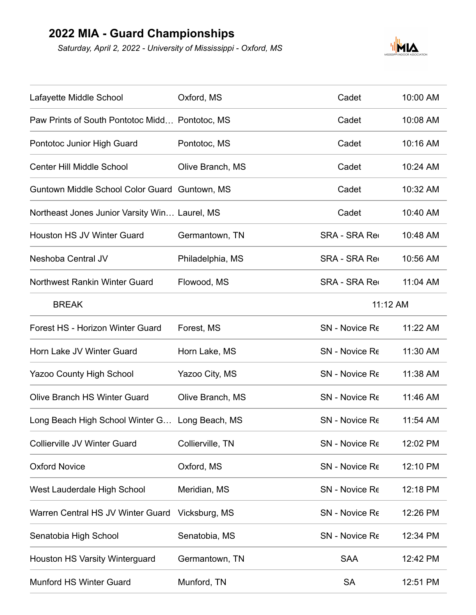## **2022 MIA - Guard Championships**

*Saturday, April 2, 2022 - University of Mississippi - Oxford, MS*



| Lafayette Middle School                        | Oxford, MS       | Cadet                | 10:00 AM |  |
|------------------------------------------------|------------------|----------------------|----------|--|
| Paw Prints of South Pontotoc Midd Pontotoc, MS |                  | Cadet                | 10:08 AM |  |
| Pontotoc Junior High Guard                     | Pontotoc, MS     | Cadet                | 10:16 AM |  |
| <b>Center Hill Middle School</b>               | Olive Branch, MS | Cadet                | 10:24 AM |  |
| Guntown Middle School Color Guard Guntown, MS  |                  | Cadet                | 10:32 AM |  |
| Northeast Jones Junior Varsity Win Laurel, MS  |                  | Cadet                | 10:40 AM |  |
| <b>Houston HS JV Winter Guard</b>              | Germantown, TN   | <b>SRA - SRA Red</b> | 10:48 AM |  |
| Neshoba Central JV                             | Philadelphia, MS | <b>SRA - SRA Red</b> | 10:56 AM |  |
| <b>Northwest Rankin Winter Guard</b>           | Flowood, MS      | <b>SRA - SRA Red</b> | 11:04 AM |  |
| <b>BREAK</b>                                   |                  |                      | 11:12 AM |  |
| Forest HS - Horizon Winter Guard               | Forest, MS       | SN - Novice Re       | 11:22 AM |  |
| Horn Lake JV Winter Guard                      | Horn Lake, MS    | SN - Novice Re       | 11:30 AM |  |
| <b>Yazoo County High School</b>                | Yazoo City, MS   | SN - Novice Re       | 11:38 AM |  |
| <b>Olive Branch HS Winter Guard</b>            | Olive Branch, MS | SN - Novice Re       | 11:46 AM |  |
| Long Beach High School Winter G Long Beach, MS |                  | SN - Novice Re       | 11:54 AM |  |
| Collierville JV Winter Guard                   | Collierville, TN | SN - Novice Re       | 12:02 PM |  |
| <b>Oxford Novice</b>                           | Oxford, MS       | SN - Novice Re       | 12:10 PM |  |
| West Lauderdale High School                    | Meridian, MS     | SN - Novice Re       | 12:18 PM |  |
| Warren Central HS JV Winter Guard              | Vicksburg, MS    | SN - Novice Re       | 12:26 PM |  |
| Senatobia High School                          | Senatobia, MS    | SN - Novice Re       | 12:34 PM |  |
| <b>Houston HS Varsity Winterguard</b>          | Germantown, TN   | <b>SAA</b>           | 12:42 PM |  |
| <b>Munford HS Winter Guard</b>                 | Munford, TN      | <b>SA</b>            | 12:51 PM |  |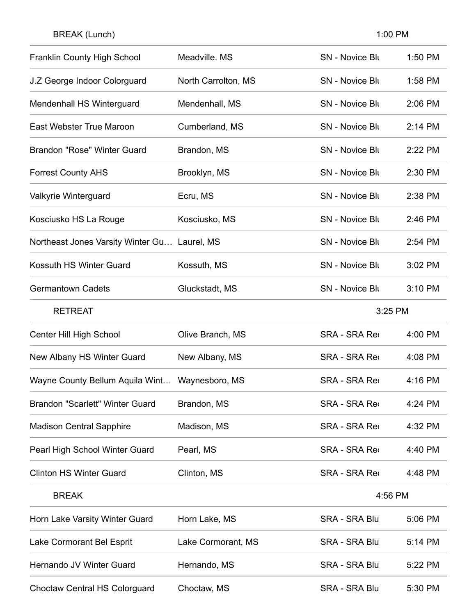| <b>Franklin County High School</b>           | Meadville. MS       | <b>SN - Novice Blu</b> | 1:50 PM |
|----------------------------------------------|---------------------|------------------------|---------|
| J.Z George Indoor Colorguard                 | North Carrolton, MS | <b>SN - Novice Blu</b> | 1:58 PM |
| Mendenhall HS Winterguard                    | Mendenhall, MS      | <b>SN - Novice Blu</b> | 2:06 PM |
| <b>East Webster True Maroon</b>              | Cumberland, MS      | <b>SN - Novice Blu</b> | 2:14 PM |
| <b>Brandon "Rose" Winter Guard</b>           | Brandon, MS         | <b>SN - Novice Blu</b> | 2:22 PM |
| <b>Forrest County AHS</b>                    | Brooklyn, MS        | <b>SN - Novice Blu</b> | 2:30 PM |
| Valkyrie Winterguard                         | Ecru, MS            | <b>SN - Novice Blu</b> | 2:38 PM |
| Kosciusko HS La Rouge                        | Kosciusko, MS       | <b>SN - Novice Blu</b> | 2:46 PM |
| Northeast Jones Varsity Winter Gu Laurel, MS |                     | <b>SN</b> - Novice Blu | 2:54 PM |
| Kossuth HS Winter Guard                      | Kossuth, MS         | <b>SN - Novice Blu</b> | 3:02 PM |
| <b>Germantown Cadets</b>                     | Gluckstadt, MS      | <b>SN - Novice Blu</b> | 3:10 PM |
| <b>RETREAT</b>                               |                     | 3:25 PM                |         |
| Center Hill High School                      | Olive Branch, MS    | <b>SRA - SRA Red</b>   | 4:00 PM |
| New Albany HS Winter Guard                   | New Albany, MS      | <b>SRA - SRA Red</b>   | 4:08 PM |
| Wayne County Bellum Aquila Wint              | Waynesboro, MS      | <b>SRA - SRA Red</b>   | 4:16 PM |
| <b>Brandon "Scarlett" Winter Guard</b>       | Brandon, MS         | <b>SRA - SRA Red</b>   | 4:24 PM |
| <b>Madison Central Sapphire</b>              | Madison, MS         | <b>SRA - SRA Red</b>   | 4:32 PM |
| Pearl High School Winter Guard               | Pearl, MS           | <b>SRA - SRA Red</b>   | 4:40 PM |
| <b>Clinton HS Winter Guard</b>               | Clinton, MS         | <b>SRA - SRA Red</b>   | 4:48 PM |
| <b>BREAK</b>                                 |                     | 4:56 PM                |         |
| Horn Lake Varsity Winter Guard               | Horn Lake, MS       | <b>SRA - SRA Blu</b>   | 5:06 PM |
| Lake Cormorant Bel Esprit                    | Lake Cormorant, MS  | <b>SRA - SRA Blu</b>   | 5:14 PM |
| Hernando JV Winter Guard                     | Hernando, MS        | <b>SRA - SRA Blu</b>   | 5:22 PM |
| <b>Choctaw Central HS Colorguard</b>         | Choctaw, MS         | SRA - SRA Blu          | 5:30 PM |